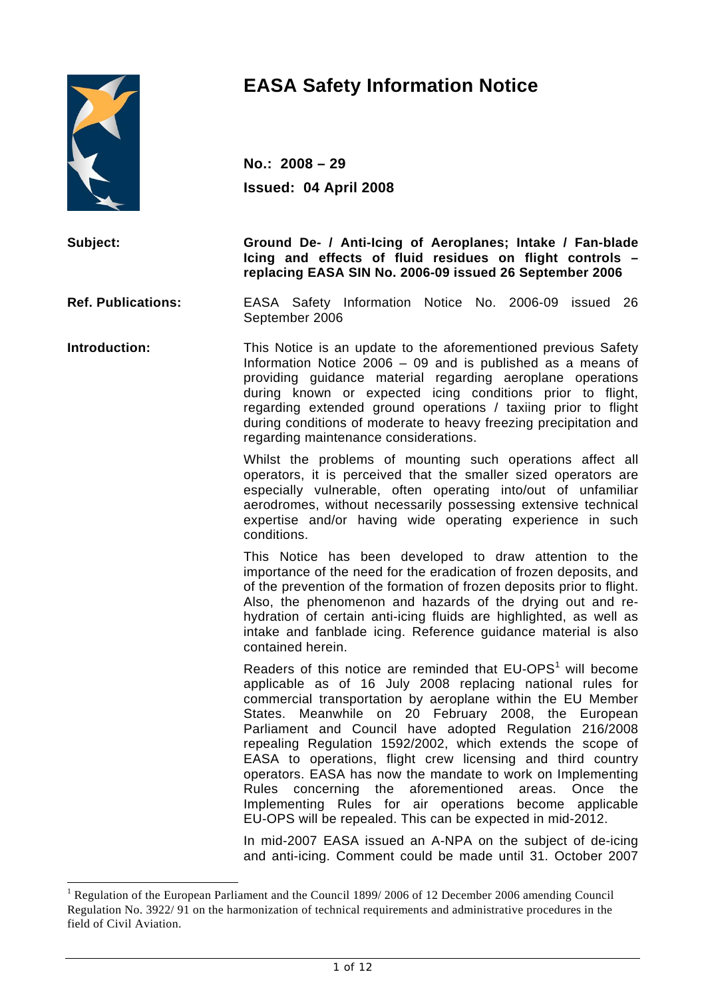

 $\overline{a}$ 

# **EASA Safety Information Notice**

**No.: 2008 – 29 Issued: 04 April 2008** 

**Subject: Ground De- / Anti-Icing of Aeroplanes; Intake / Fan-blade Icing and effects of fluid residues on flight controls – replacing EASA SIN No. 2006-09 issued 26 September 2006** 

**Ref. Publications:** EASA Safety Information Notice No. 2006-09 issued 26 September 2006

**Introduction:** This Notice is an update to the aforementioned previous Safety Information Notice 2006 – 09 and is published as a means of providing guidance material regarding aeroplane operations during known or expected icing conditions prior to flight, regarding extended ground operations / taxiing prior to flight during conditions of moderate to heavy freezing precipitation and regarding maintenance considerations.

> Whilst the problems of mounting such operations affect all operators, it is perceived that the smaller sized operators are especially vulnerable, often operating into/out of unfamiliar aerodromes, without necessarily possessing extensive technical expertise and/or having wide operating experience in such conditions.

> This Notice has been developed to draw attention to the importance of the need for the eradication of frozen deposits, and of the prevention of the formation of frozen deposits prior to flight. Also, the phenomenon and hazards of the drying out and rehydration of certain anti-icing fluids are highlighted, as well as intake and fanblade icing. Reference guidance material is also contained herein.

Readers of this notice are reminded that  $EU-OPS<sup>1</sup>$  will become applicable as of 16 July 2008 replacing national rules for commercial transportation by aeroplane within the EU Member States. Meanwhile on 20 February 2008, the European Parliament and Council have adopted Regulation 216/2008 repealing Regulation 1592/2002, which extends the scope of EASA to operations, flight crew licensing and third country operators. EASA has now the mandate to work on Implementing Rules concerning the aforementioned areas. Once the Implementing Rules for air operations become applicable EU-OPS will be repealed. This can be expected in mid-2012.

> In mid-2007 EASA issued an A-NPA on the subject of de-icing and anti-icing. Comment could be made until 31. October 2007

<sup>&</sup>lt;sup>1</sup> Regulation of the European Parliament and the Council 1899/2006 of 12 December 2006 amending Council Regulation No. 3922/ 91 on the harmonization of technical requirements and administrative procedures in the field of Civil Aviation.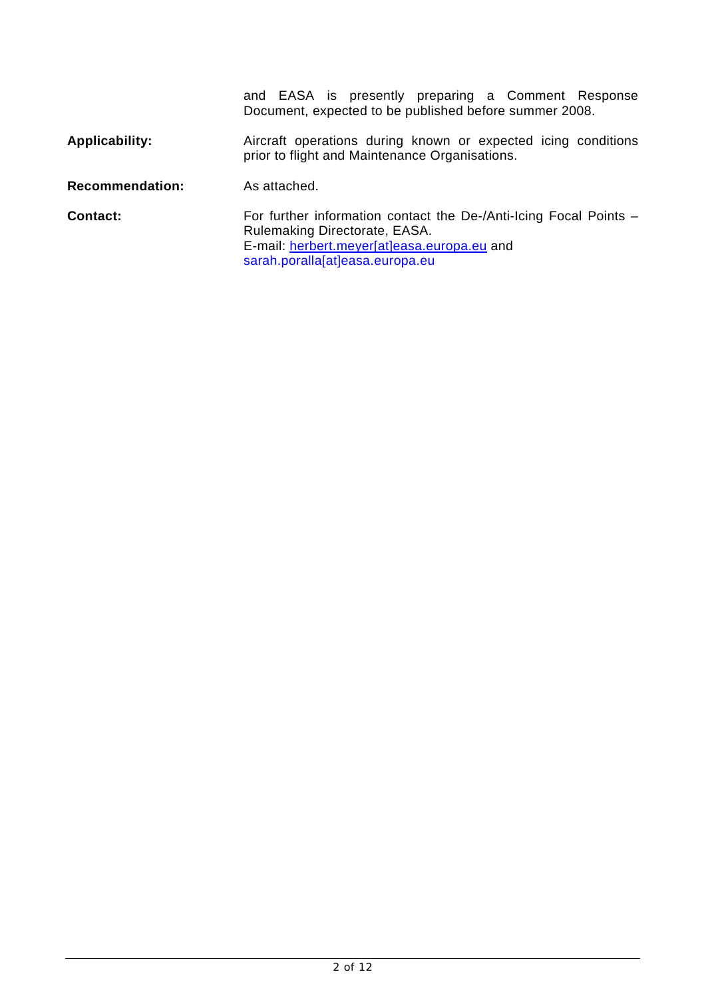|                        | and EASA is presently preparing a Comment Response<br>Document, expected to be published before summer 2008.                                                                         |
|------------------------|--------------------------------------------------------------------------------------------------------------------------------------------------------------------------------------|
| Applicability:         | Aircraft operations during known or expected icing conditions<br>prior to flight and Maintenance Organisations.                                                                      |
| <b>Recommendation:</b> | As attached.                                                                                                                                                                         |
| Contact:               | For further information contact the De-/Anti-Icing Focal Points -<br>Rulemaking Directorate, EASA.<br>E-mail: herbert.meyer[at]easa.europa.eu and<br>sarah.poralla[at]easa.europa.eu |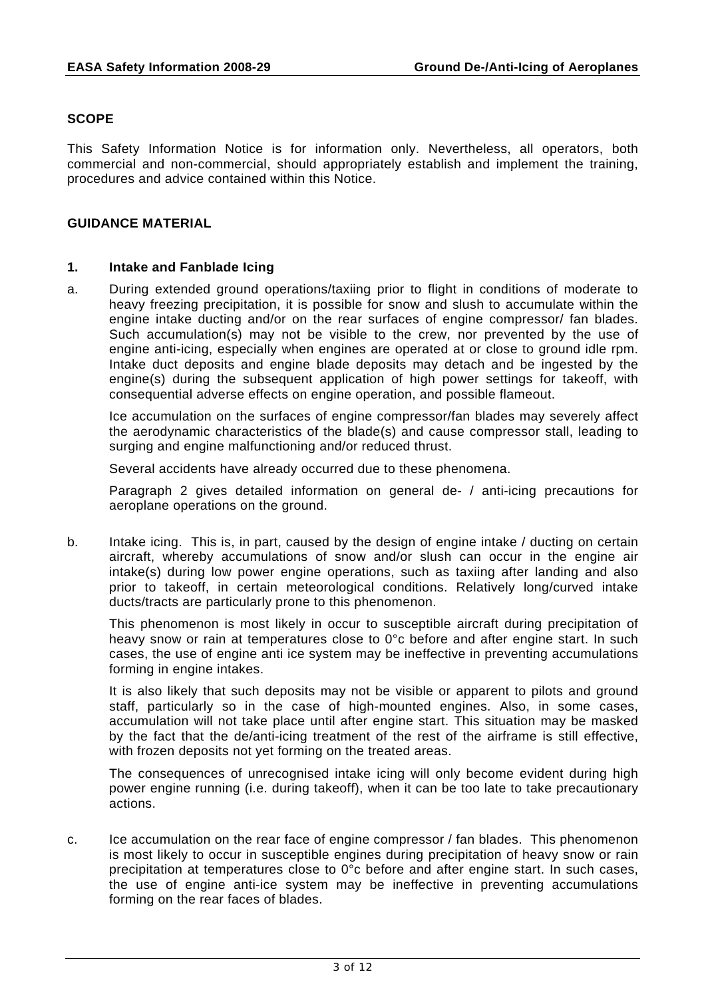## **SCOPE**

This Safety Information Notice is for information only. Nevertheless, all operators, both commercial and non-commercial, should appropriately establish and implement the training, procedures and advice contained within this Notice.

#### **GUIDANCE MATERIAL**

#### **1. Intake and Fanblade Icing**

a. During extended ground operations/taxiing prior to flight in conditions of moderate to heavy freezing precipitation, it is possible for snow and slush to accumulate within the engine intake ducting and/or on the rear surfaces of engine compressor/ fan blades. Such accumulation(s) may not be visible to the crew, nor prevented by the use of engine anti-icing, especially when engines are operated at or close to ground idle rpm. Intake duct deposits and engine blade deposits may detach and be ingested by the engine(s) during the subsequent application of high power settings for takeoff, with consequential adverse effects on engine operation, and possible flameout.

 Ice accumulation on the surfaces of engine compressor/fan blades may severely affect the aerodynamic characteristics of the blade(s) and cause compressor stall, leading to surging and engine malfunctioning and/or reduced thrust.

Several accidents have already occurred due to these phenomena.

 Paragraph 2 gives detailed information on general de- / anti-icing precautions for aeroplane operations on the ground.

b. Intake icing. This is, in part, caused by the design of engine intake / ducting on certain aircraft, whereby accumulations of snow and/or slush can occur in the engine air intake(s) during low power engine operations, such as taxiing after landing and also prior to takeoff, in certain meteorological conditions. Relatively long/curved intake ducts/tracts are particularly prone to this phenomenon.

 This phenomenon is most likely in occur to susceptible aircraft during precipitation of heavy snow or rain at temperatures close to 0°c before and after engine start. In such cases, the use of engine anti ice system may be ineffective in preventing accumulations forming in engine intakes.

 It is also likely that such deposits may not be visible or apparent to pilots and ground staff, particularly so in the case of high-mounted engines. Also, in some cases, accumulation will not take place until after engine start. This situation may be masked by the fact that the de/anti-icing treatment of the rest of the airframe is still effective, with frozen deposits not yet forming on the treated areas.

 The consequences of unrecognised intake icing will only become evident during high power engine running (i.e. during takeoff), when it can be too late to take precautionary actions.

c. Ice accumulation on the rear face of engine compressor / fan blades. This phenomenon is most likely to occur in susceptible engines during precipitation of heavy snow or rain precipitation at temperatures close to 0°c before and after engine start. In such cases, the use of engine anti-ice system may be ineffective in preventing accumulations forming on the rear faces of blades.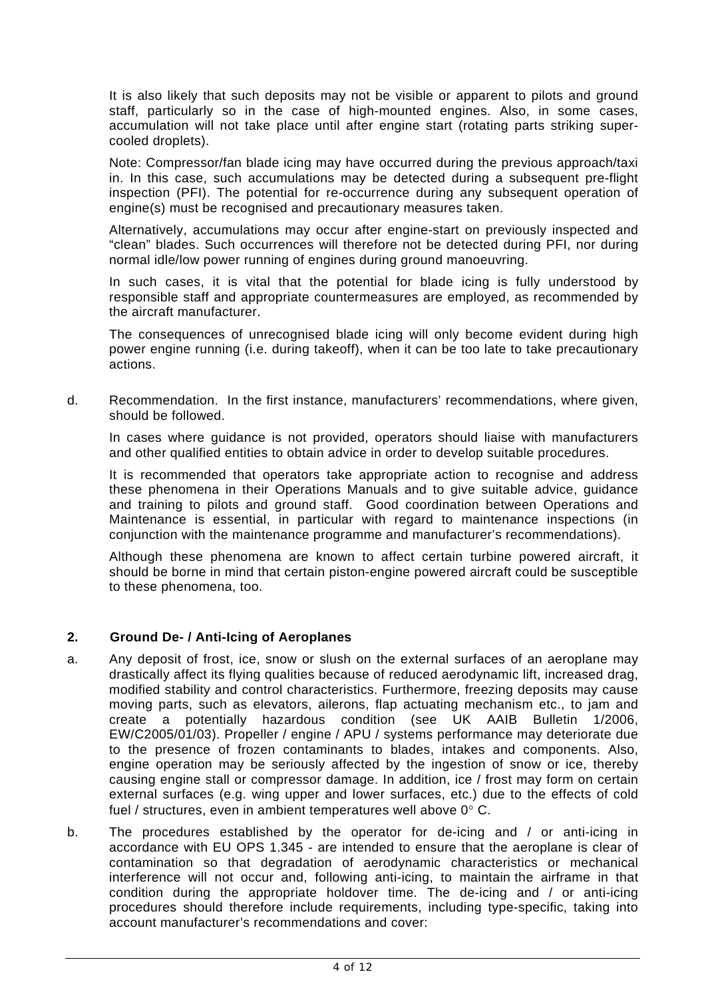It is also likely that such deposits may not be visible or apparent to pilots and ground staff, particularly so in the case of high-mounted engines. Also, in some cases, accumulation will not take place until after engine start (rotating parts striking supercooled droplets).

 Note: Compressor/fan blade icing may have occurred during the previous approach/taxi in. In this case, such accumulations may be detected during a subsequent pre-flight inspection (PFI). The potential for re-occurrence during any subsequent operation of engine(s) must be recognised and precautionary measures taken.

 Alternatively, accumulations may occur after engine-start on previously inspected and "clean" blades. Such occurrences will therefore not be detected during PFI, nor during normal idle/low power running of engines during ground manoeuvring.

 In such cases, it is vital that the potential for blade icing is fully understood by responsible staff and appropriate countermeasures are employed, as recommended by the aircraft manufacturer.

 The consequences of unrecognised blade icing will only become evident during high power engine running (i.e. during takeoff), when it can be too late to take precautionary actions.

d. Recommendation. In the first instance, manufacturers' recommendations, where given, should be followed.

 In cases where guidance is not provided, operators should liaise with manufacturers and other qualified entities to obtain advice in order to develop suitable procedures.

 It is recommended that operators take appropriate action to recognise and address these phenomena in their Operations Manuals and to give suitable advice, guidance and training to pilots and ground staff. Good coordination between Operations and Maintenance is essential, in particular with regard to maintenance inspections (in conjunction with the maintenance programme and manufacturer's recommendations).

 Although these phenomena are known to affect certain turbine powered aircraft, it should be borne in mind that certain piston-engine powered aircraft could be susceptible to these phenomena, too.

## **2. Ground De- / Anti-Icing of Aeroplanes**

- a. Any deposit of frost, ice, snow or slush on the external surfaces of an aeroplane may drastically affect its flying qualities because of reduced aerodynamic lift, increased drag, modified stability and control characteristics. Furthermore, freezing deposits may cause moving parts, such as elevators, ailerons, flap actuating mechanism etc., to jam and create a potentially hazardous condition (see UK AAIB Bulletin 1/2006, EW/C2005/01/03). Propeller / engine / APU / systems performance may deteriorate due to the presence of frozen contaminants to blades, intakes and components. Also, engine operation may be seriously affected by the ingestion of snow or ice, thereby causing engine stall or compressor damage. In addition, ice / frost may form on certain external surfaces (e.g. wing upper and lower surfaces, etc.) due to the effects of cold fuel / structures, even in ambient temperatures well above 0° C.
- b. The procedures established by the operator for de-icing and / or anti-icing in accordance with EU OPS 1.345 - are intended to ensure that the aeroplane is clear of contamination so that degradation of aerodynamic characteristics or mechanical interference will not occur and, following anti-icing, to maintain the airframe in that condition during the appropriate holdover time. The de-icing and / or anti-icing procedures should therefore include requirements, including type-specific, taking into account manufacturer's recommendations and cover: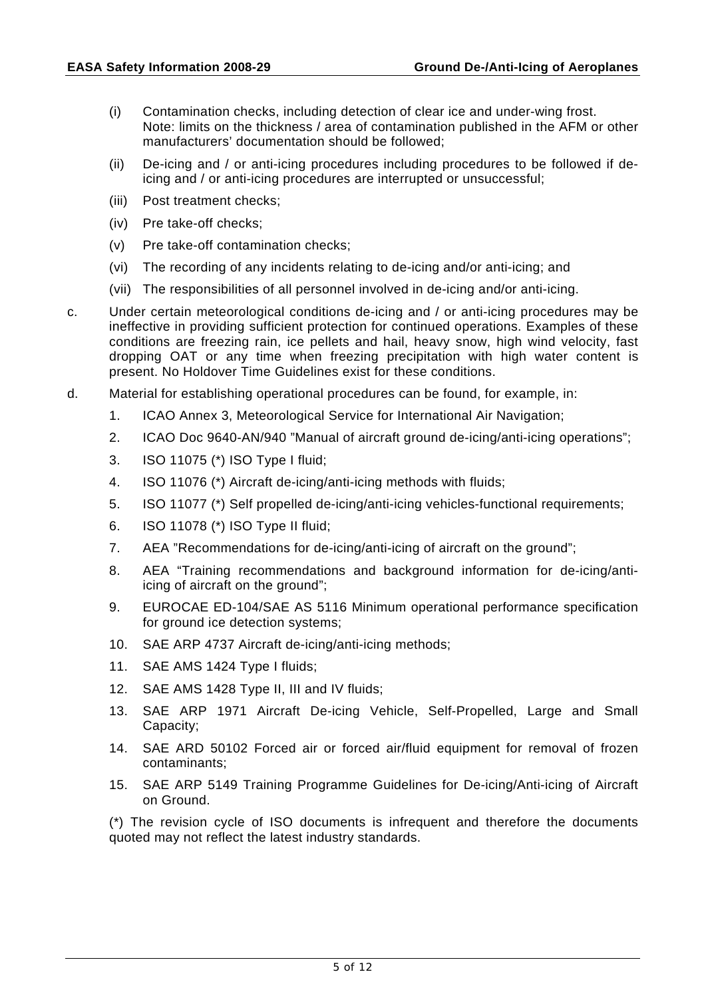- (i) Contamination checks, including detection of clear ice and under-wing frost. Note: limits on the thickness / area of contamination published in the AFM or other manufacturers' documentation should be followed;
- (ii) De-icing and / or anti-icing procedures including procedures to be followed if deicing and / or anti-icing procedures are interrupted or unsuccessful;
- (iii) Post treatment checks;
- (iv) Pre take-off checks;
- (v) Pre take-off contamination checks;
- (vi) The recording of any incidents relating to de-icing and/or anti-icing; and
- (vii) The responsibilities of all personnel involved in de-icing and/or anti-icing.
- c. Under certain meteorological conditions de-icing and / or anti-icing procedures may be ineffective in providing sufficient protection for continued operations. Examples of these conditions are freezing rain, ice pellets and hail, heavy snow, high wind velocity, fast dropping OAT or any time when freezing precipitation with high water content is present. No Holdover Time Guidelines exist for these conditions.
- d. Material for establishing operational procedures can be found, for example, in:
	- 1. ICAO Annex 3, Meteorological Service for International Air Navigation;
	- 2. ICAO Doc 9640-AN/940 "Manual of aircraft ground de-icing/anti-icing operations";
	- 3. ISO 11075 (\*) ISO Type I fluid;
	- 4. ISO 11076 (\*) Aircraft de-icing/anti-icing methods with fluids;
	- 5. ISO 11077 (\*) Self propelled de-icing/anti-icing vehicles-functional requirements;
	- 6. ISO 11078 (\*) ISO Type II fluid;
	- 7. AEA "Recommendations for de-icing/anti-icing of aircraft on the ground";
	- 8. AEA "Training recommendations and background information for de-icing/antiicing of aircraft on the ground";
	- 9. EUROCAE ED-104/SAE AS 5116 Minimum operational performance specification for ground ice detection systems;
	- 10. SAE ARP 4737 Aircraft de-icing/anti-icing methods;
	- 11. SAE AMS 1424 Type I fluids;
	- 12. SAE AMS 1428 Type II, III and IV fluids;
	- 13. SAE ARP 1971 Aircraft De-icing Vehicle, Self-Propelled, Large and Small Capacity;
	- 14. SAE ARD 50102 Forced air or forced air/fluid equipment for removal of frozen contaminants;
	- 15. SAE ARP 5149 Training Programme Guidelines for De-icing/Anti-icing of Aircraft on Ground.

 (\*) The revision cycle of ISO documents is infrequent and therefore the documents quoted may not reflect the latest industry standards.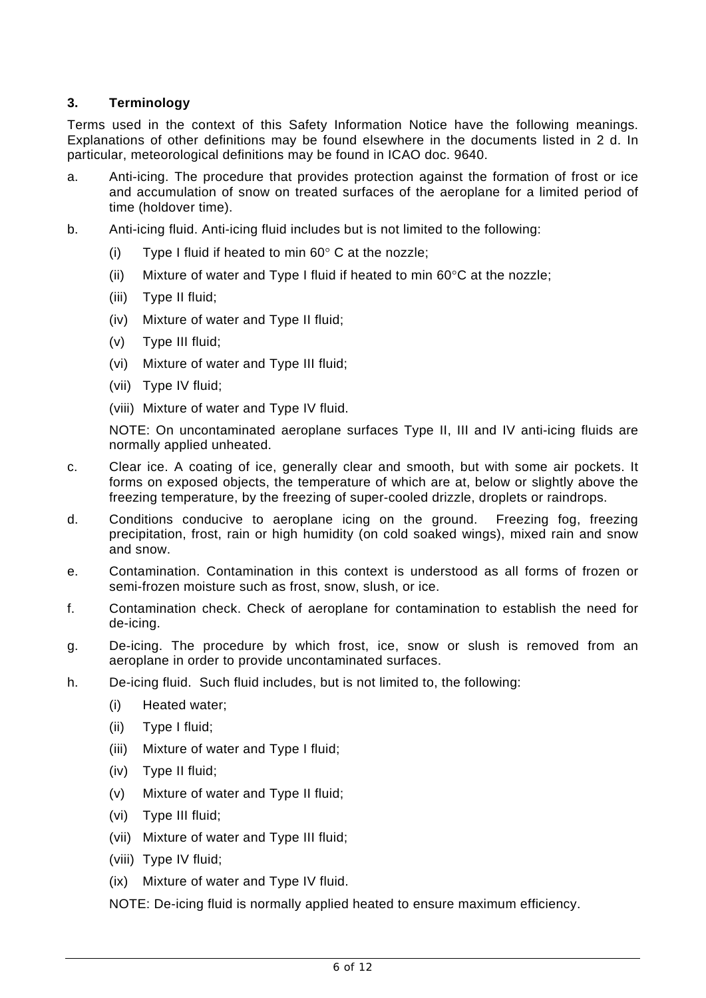# **3. Terminology**

Terms used in the context of this Safety Information Notice have the following meanings. Explanations of other definitions may be found elsewhere in the documents listed in 2 d. In particular, meteorological definitions may be found in ICAO doc. 9640.

- a. Anti-icing. The procedure that provides protection against the formation of frost or ice and accumulation of snow on treated surfaces of the aeroplane for a limited period of time (holdover time).
- b. Anti-icing fluid. Anti-icing fluid includes but is not limited to the following:
	- (i) Type I fluid if heated to min  $60^\circ$  C at the nozzle;
	- (ii) Mixture of water and Type I fluid if heated to min  $60^{\circ}$ C at the nozzle;
	- (iii) Type II fluid;
	- (iv) Mixture of water and Type II fluid;
	- (v) Type III fluid;
	- (vi) Mixture of water and Type III fluid;
	- (vii) Type IV fluid;
	- (viii) Mixture of water and Type IV fluid.

NOTE: On uncontaminated aeroplane surfaces Type II, III and IV anti-icing fluids are normally applied unheated.

- c. Clear ice. A coating of ice, generally clear and smooth, but with some air pockets. It forms on exposed objects, the temperature of which are at, below or slightly above the freezing temperature, by the freezing of super-cooled drizzle, droplets or raindrops.
- d. Conditions conducive to aeroplane icing on the ground. Freezing fog, freezing precipitation, frost, rain or high humidity (on cold soaked wings), mixed rain and snow and snow.
- e. Contamination. Contamination in this context is understood as all forms of frozen or semi-frozen moisture such as frost, snow, slush, or ice.
- f. Contamination check. Check of aeroplane for contamination to establish the need for de-icing.
- g. De-icing. The procedure by which frost, ice, snow or slush is removed from an aeroplane in order to provide uncontaminated surfaces.
- h. De-icing fluid. Such fluid includes, but is not limited to, the following:
	- (i) Heated water;
	- (ii) Type I fluid;
	- (iii) Mixture of water and Type I fluid;
	- (iv) Type II fluid;
	- (v) Mixture of water and Type II fluid;
	- (vi) Type III fluid;
	- (vii) Mixture of water and Type III fluid;
	- (viii) Type IV fluid;
	- (ix) Mixture of water and Type IV fluid.

NOTE: De-icing fluid is normally applied heated to ensure maximum efficiency.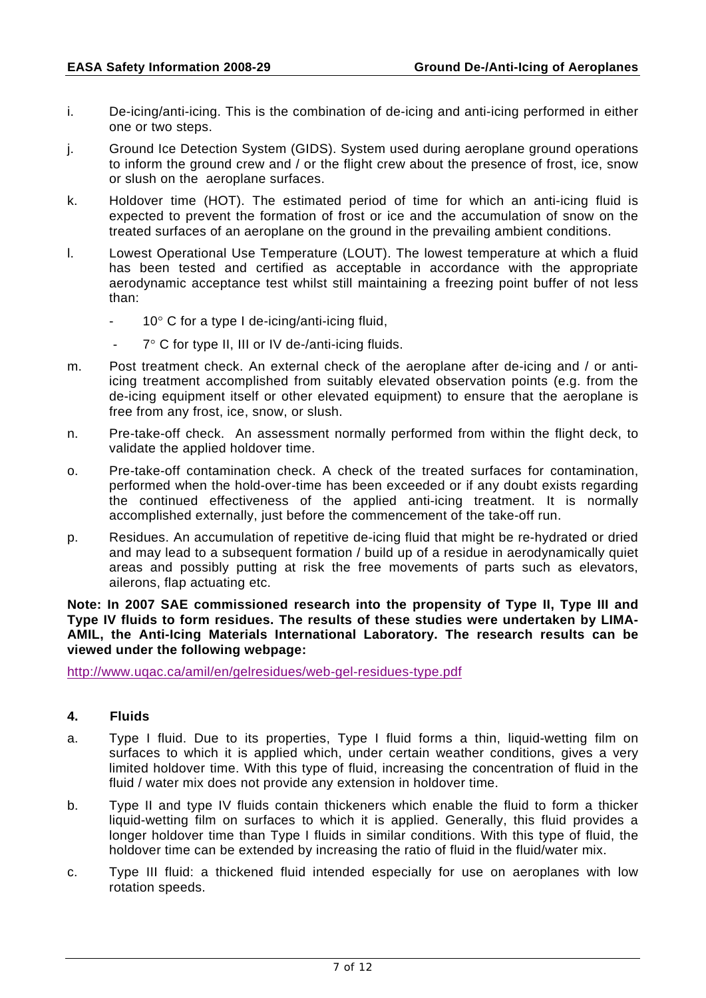- i. De-icing/anti-icing. This is the combination of de-icing and anti-icing performed in either one or two steps.
- j. Ground Ice Detection System (GIDS). System used during aeroplane ground operations to inform the ground crew and / or the flight crew about the presence of frost, ice, snow or slush on the aeroplane surfaces.
- k. Holdover time (HOT). The estimated period of time for which an anti-icing fluid is expected to prevent the formation of frost or ice and the accumulation of snow on the treated surfaces of an aeroplane on the ground in the prevailing ambient conditions.
- l. Lowest Operational Use Temperature (LOUT). The lowest temperature at which a fluid has been tested and certified as acceptable in accordance with the appropriate aerodynamic acceptance test whilst still maintaining a freezing point buffer of not less than:
	- $10^{\circ}$  C for a type I de-icing/anti-icing fluid,
	- 7° C for type II, III or IV de-/anti-icing fluids.
- m. Post treatment check. An external check of the aeroplane after de-icing and / or antiicing treatment accomplished from suitably elevated observation points (e.g. from the de-icing equipment itself or other elevated equipment) to ensure that the aeroplane is free from any frost, ice, snow, or slush.
- n. Pre-take-off check. An assessment normally performed from within the flight deck, to validate the applied holdover time.
- o. Pre-take-off contamination check. A check of the treated surfaces for contamination, performed when the hold-over-time has been exceeded or if any doubt exists regarding the continued effectiveness of the applied anti-icing treatment. It is normally accomplished externally, just before the commencement of the take-off run.
- p. Residues. An accumulation of repetitive de-icing fluid that might be re-hydrated or dried and may lead to a subsequent formation / build up of a residue in aerodynamically quiet areas and possibly putting at risk the free movements of parts such as elevators, ailerons, flap actuating etc.

**Note: In 2007 SAE commissioned research into the propensity of Type II, Type III and Type IV fluids to form residues. The results of these studies were undertaken by LIMA-AMIL, the Anti-Icing Materials International Laboratory. The research results can be viewed under the following webpage:** 

http://www.uqac.ca/amil/en/gelresidues/web-gel-residues-type.pdf

#### **4. Fluids**

- a. Type I fluid. Due to its properties, Type I fluid forms a thin, liquid-wetting film on surfaces to which it is applied which, under certain weather conditions, gives a very limited holdover time. With this type of fluid, increasing the concentration of fluid in the fluid / water mix does not provide any extension in holdover time.
- b. Type II and type IV fluids contain thickeners which enable the fluid to form a thicker liquid-wetting film on surfaces to which it is applied. Generally, this fluid provides a longer holdover time than Type I fluids in similar conditions. With this type of fluid, the holdover time can be extended by increasing the ratio of fluid in the fluid/water mix.
- c. Type III fluid: a thickened fluid intended especially for use on aeroplanes with low rotation speeds.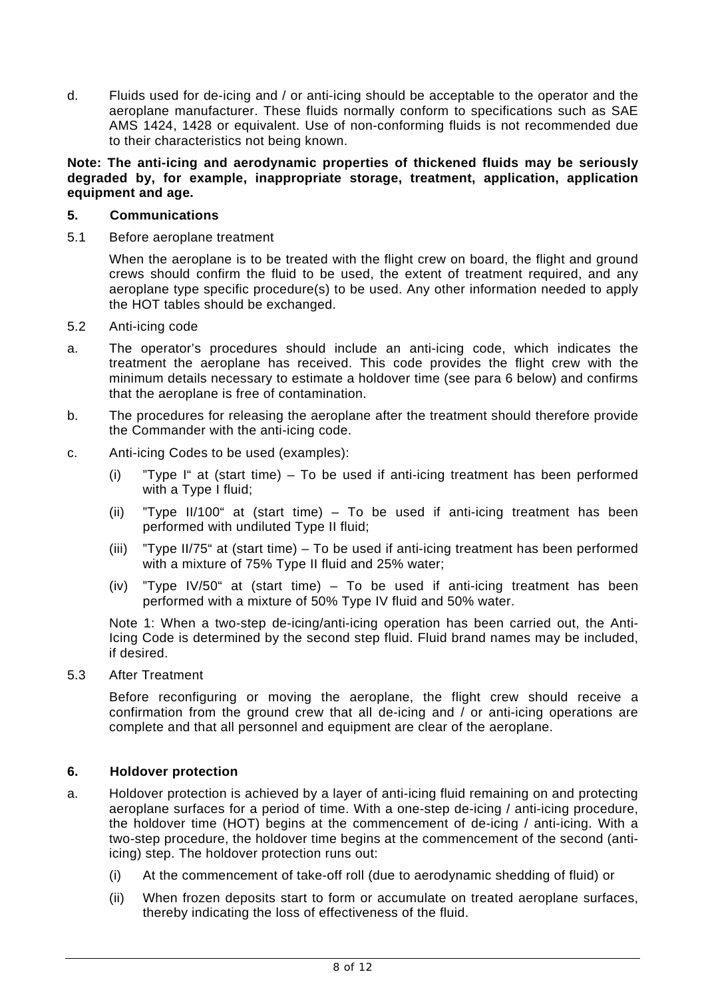d. Fluids used for de-icing and / or anti-icing should be acceptable to the operator and the aeroplane manufacturer. These fluids normally conform to specifications such as SAE AMS 1424, 1428 or equivalent. Use of non-conforming fluids is not recommended due to their characteristics not being known.

**Note: The anti-icing and aerodynamic properties of thickened fluids may be seriously degraded by, for example, inappropriate storage, treatment, application, application equipment and age.**

## **5. Communications**

5.1 Before aeroplane treatment

 When the aeroplane is to be treated with the flight crew on board, the flight and ground crews should confirm the fluid to be used, the extent of treatment required, and any aeroplane type specific procedure(s) to be used. Any other information needed to apply the HOT tables should be exchanged.

- 5.2 Anti-icing code
- a. The operator's procedures should include an anti-icing code, which indicates the treatment the aeroplane has received. This code provides the flight crew with the minimum details necessary to estimate a holdover time (see para 6 below) and confirms that the aeroplane is free of contamination.
- b. The procedures for releasing the aeroplane after the treatment should therefore provide the Commander with the anti-icing code.
- c. Anti-icing Codes to be used (examples):
	- (i) "Type I" at (start time) To be used if anti-icing treatment has been performed with a Type I fluid;
	- (ii) "Type II/100" at (start time) To be used if anti-icing treatment has been performed with undiluted Type II fluid;
	- (iii) "Type II/75" at (start time) To be used if anti-icing treatment has been performed with a mixture of 75% Type II fluid and 25% water;
	- (iv) "Type IV/50" at (start time) To be used if anti-icing treatment has been performed with a mixture of 50% Type IV fluid and 50% water.

 Note 1: When a two-step de-icing/anti-icing operation has been carried out, the Anti-Icing Code is determined by the second step fluid. Fluid brand names may be included, if desired.

5.3 After Treatment

 Before reconfiguring or moving the aeroplane, the flight crew should receive a confirmation from the ground crew that all de-icing and / or anti-icing operations are complete and that all personnel and equipment are clear of the aeroplane.

#### **6. Holdover protection**

- a. Holdover protection is achieved by a layer of anti-icing fluid remaining on and protecting aeroplane surfaces for a period of time. With a one-step de-icing / anti-icing procedure, the holdover time (HOT) begins at the commencement of de-icing / anti-icing. With a two-step procedure, the holdover time begins at the commencement of the second (antiicing) step. The holdover protection runs out:
	- (i) At the commencement of take-off roll (due to aerodynamic shedding of fluid) or
	- (ii) When frozen deposits start to form or accumulate on treated aeroplane surfaces, thereby indicating the loss of effectiveness of the fluid.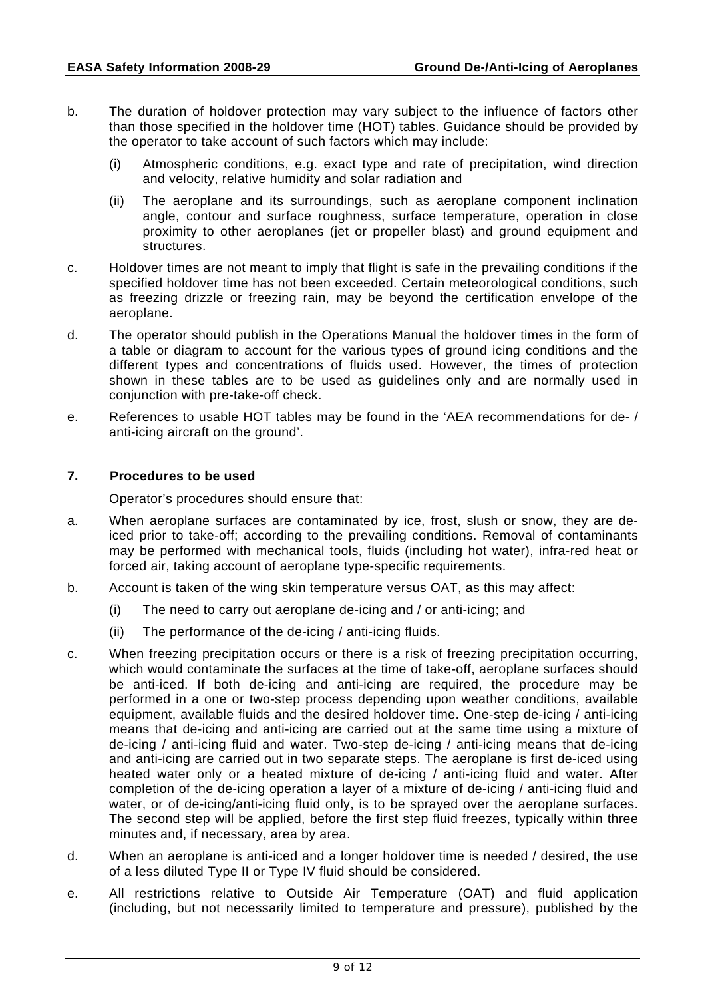- b. The duration of holdover protection may vary subject to the influence of factors other than those specified in the holdover time (HOT) tables. Guidance should be provided by the operator to take account of such factors which may include:
	- (i) Atmospheric conditions, e.g. exact type and rate of precipitation, wind direction and velocity, relative humidity and solar radiation and
	- (ii) The aeroplane and its surroundings, such as aeroplane component inclination angle, contour and surface roughness, surface temperature, operation in close proximity to other aeroplanes (jet or propeller blast) and ground equipment and structures.
- c. Holdover times are not meant to imply that flight is safe in the prevailing conditions if the specified holdover time has not been exceeded. Certain meteorological conditions, such as freezing drizzle or freezing rain, may be beyond the certification envelope of the aeroplane.
- d. The operator should publish in the Operations Manual the holdover times in the form of a table or diagram to account for the various types of ground icing conditions and the different types and concentrations of fluids used. However, the times of protection shown in these tables are to be used as guidelines only and are normally used in conjunction with pre-take-off check.
- e. References to usable HOT tables may be found in the 'AEA recommendations for de- / anti-icing aircraft on the ground'.

#### **7. Procedures to be used**

Operator's procedures should ensure that:

- a. When aeroplane surfaces are contaminated by ice, frost, slush or snow, they are deiced prior to take-off; according to the prevailing conditions. Removal of contaminants may be performed with mechanical tools, fluids (including hot water), infra-red heat or forced air, taking account of aeroplane type-specific requirements.
- b. Account is taken of the wing skin temperature versus OAT, as this may affect:
	- (i) The need to carry out aeroplane de-icing and / or anti-icing; and
	- (ii) The performance of the de-icing / anti-icing fluids.
- c. When freezing precipitation occurs or there is a risk of freezing precipitation occurring, which would contaminate the surfaces at the time of take-off, aeroplane surfaces should be anti-iced. If both de-icing and anti-icing are required, the procedure may be performed in a one or two-step process depending upon weather conditions, available equipment, available fluids and the desired holdover time. One-step de-icing / anti-icing means that de-icing and anti-icing are carried out at the same time using a mixture of de-icing / anti-icing fluid and water. Two-step de-icing / anti-icing means that de-icing and anti-icing are carried out in two separate steps. The aeroplane is first de-iced using heated water only or a heated mixture of de-icing / anti-icing fluid and water. After completion of the de-icing operation a layer of a mixture of de-icing / anti-icing fluid and water, or of de-icing/anti-icing fluid only, is to be sprayed over the aeroplane surfaces. The second step will be applied, before the first step fluid freezes, typically within three minutes and, if necessary, area by area.
- d. When an aeroplane is anti-iced and a longer holdover time is needed / desired, the use of a less diluted Type II or Type IV fluid should be considered.
- e. All restrictions relative to Outside Air Temperature (OAT) and fluid application (including, but not necessarily limited to temperature and pressure), published by the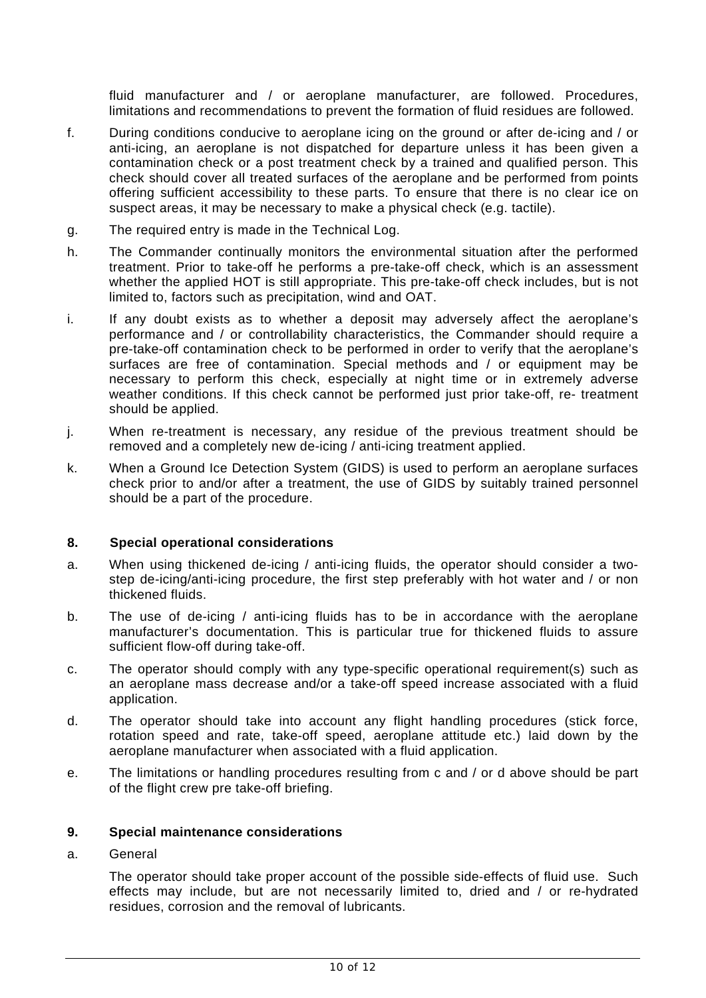fluid manufacturer and / or aeroplane manufacturer, are followed. Procedures, limitations and recommendations to prevent the formation of fluid residues are followed.

- f. During conditions conducive to aeroplane icing on the ground or after de-icing and / or anti-icing, an aeroplane is not dispatched for departure unless it has been given a contamination check or a post treatment check by a trained and qualified person. This check should cover all treated surfaces of the aeroplane and be performed from points offering sufficient accessibility to these parts. To ensure that there is no clear ice on suspect areas, it may be necessary to make a physical check (e.g. tactile).
- g. The required entry is made in the Technical Log.
- h. The Commander continually monitors the environmental situation after the performed treatment. Prior to take-off he performs a pre-take-off check, which is an assessment whether the applied HOT is still appropriate. This pre-take-off check includes, but is not limited to, factors such as precipitation, wind and OAT.
- i. If any doubt exists as to whether a deposit may adversely affect the aeroplane's performance and / or controllability characteristics, the Commander should require a pre-take-off contamination check to be performed in order to verify that the aeroplane's surfaces are free of contamination. Special methods and / or equipment may be necessary to perform this check, especially at night time or in extremely adverse weather conditions. If this check cannot be performed just prior take-off, re- treatment should be applied.
- j. When re-treatment is necessary, any residue of the previous treatment should be removed and a completely new de-icing / anti-icing treatment applied.
- k. When a Ground Ice Detection System (GIDS) is used to perform an aeroplane surfaces check prior to and/or after a treatment, the use of GIDS by suitably trained personnel should be a part of the procedure.

#### **8. Special operational considerations**

- a. When using thickened de-icing / anti-icing fluids, the operator should consider a twostep de-icing/anti-icing procedure, the first step preferably with hot water and / or non thickened fluids.
- b. The use of de-icing / anti-icing fluids has to be in accordance with the aeroplane manufacturer's documentation. This is particular true for thickened fluids to assure sufficient flow-off during take-off.
- c. The operator should comply with any type-specific operational requirement(s) such as an aeroplane mass decrease and/or a take-off speed increase associated with a fluid application.
- d. The operator should take into account any flight handling procedures (stick force, rotation speed and rate, take-off speed, aeroplane attitude etc.) laid down by the aeroplane manufacturer when associated with a fluid application.
- e. The limitations or handling procedures resulting from c and / or d above should be part of the flight crew pre take-off briefing.

#### **9. Special maintenance considerations**

a. General

 The operator should take proper account of the possible side-effects of fluid use. Such effects may include, but are not necessarily limited to, dried and / or re-hydrated residues, corrosion and the removal of lubricants.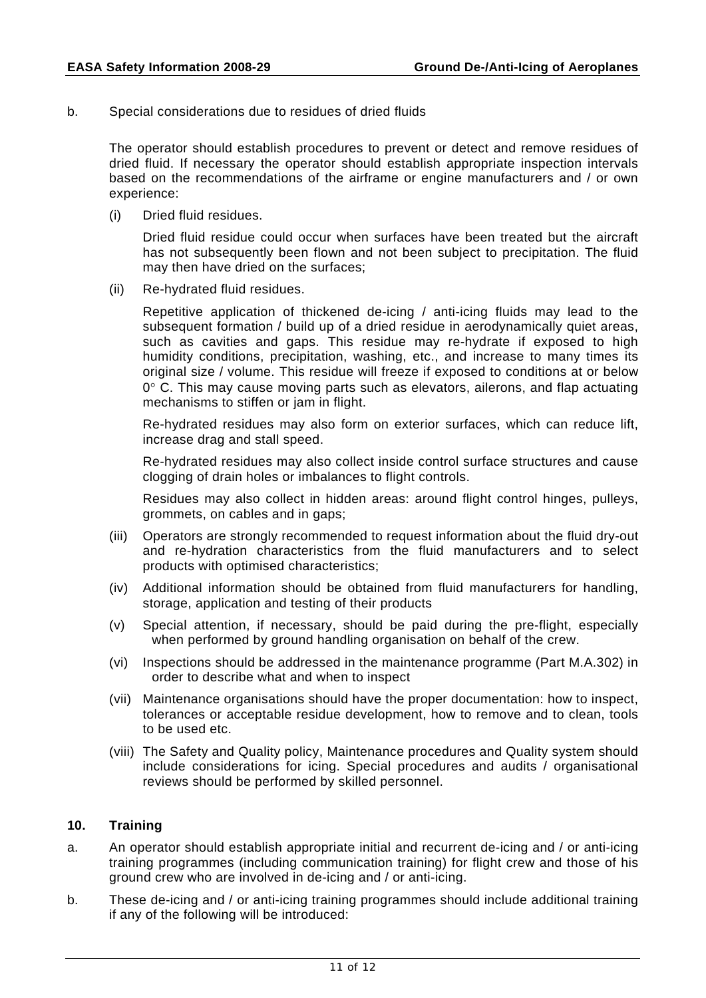b. Special considerations due to residues of dried fluids

 The operator should establish procedures to prevent or detect and remove residues of dried fluid. If necessary the operator should establish appropriate inspection intervals based on the recommendations of the airframe or engine manufacturers and / or own experience:

(i) Dried fluid residues.

 Dried fluid residue could occur when surfaces have been treated but the aircraft has not subsequently been flown and not been subject to precipitation. The fluid may then have dried on the surfaces;

(ii) Re-hydrated fluid residues.

 Repetitive application of thickened de-icing / anti-icing fluids may lead to the subsequent formation / build up of a dried residue in aerodynamically quiet areas, such as cavities and gaps. This residue may re-hydrate if exposed to high humidity conditions, precipitation, washing, etc., and increase to many times its original size / volume. This residue will freeze if exposed to conditions at or below  $0^{\circ}$  C. This may cause moving parts such as elevators, ailerons, and flap actuating mechanisms to stiffen or jam in flight.

 Re-hydrated residues may also form on exterior surfaces, which can reduce lift, increase drag and stall speed.

 Re-hydrated residues may also collect inside control surface structures and cause clogging of drain holes or imbalances to flight controls.

 Residues may also collect in hidden areas: around flight control hinges, pulleys, grommets, on cables and in gaps;

- (iii) Operators are strongly recommended to request information about the fluid dry-out and re-hydration characteristics from the fluid manufacturers and to select products with optimised characteristics;
- (iv) Additional information should be obtained from fluid manufacturers for handling, storage, application and testing of their products
- (v) Special attention, if necessary, should be paid during the pre-flight, especially when performed by ground handling organisation on behalf of the crew.
- (vi) Inspections should be addressed in the maintenance programme (Part M.A.302) in order to describe what and when to inspect
- (vii) Maintenance organisations should have the proper documentation: how to inspect, tolerances or acceptable residue development, how to remove and to clean, tools to be used etc.
- (viii) The Safety and Quality policy, Maintenance procedures and Quality system should include considerations for icing. Special procedures and audits / organisational reviews should be performed by skilled personnel.

#### **10. Training**

- a. An operator should establish appropriate initial and recurrent de-icing and / or anti-icing training programmes (including communication training) for flight crew and those of his ground crew who are involved in de-icing and / or anti-icing.
- b. These de-icing and / or anti-icing training programmes should include additional training if any of the following will be introduced: